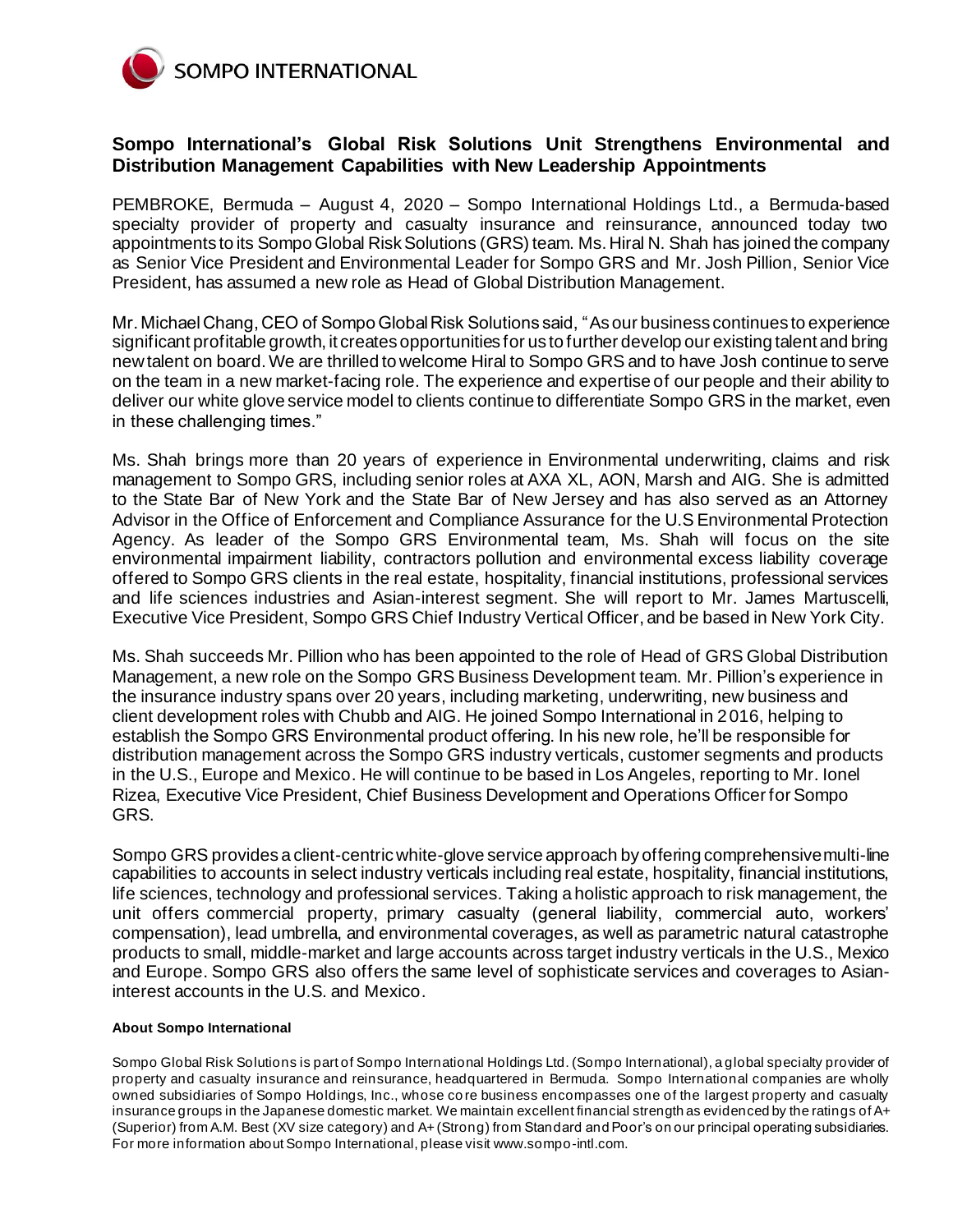

## **Sompo International's Global Risk Solutions Unit Strengthens Environmental and Distribution Management Capabilities with New Leadership Appointments**

PEMBROKE, Bermuda – August 4, 2020 – Sompo International Holdings Ltd., a Bermuda-based specialty provider of property and casualty insurance and reinsurance, announced today two appointments to its Sompo Global Risk Solutions (GRS) team. Ms. Hiral N. Shah has joined the company as Senior Vice President and Environmental Leader for Sompo GRS and Mr. Josh Pillion, Senior Vice President, has assumed a new role as Head of Global Distribution Management.

Mr. Michael Chang, CEO of Sompo Global Risk Solutions said, "As our business continues to experience significant profitable growth, it creates opportunities for us to further develop our existing talent and bring new talent on board. We are thrilled to welcome Hiral to Sompo GRS and to have Josh continue to serve on the team in a new market-facing role. The experience and expertise of our people and their ability to deliver our white glove service model to clients continue to differentiate Sompo GRS in the market, even in these challenging times."

Ms. Shah brings more than 20 years of experience in Environmental underwriting, claims and risk management to Sompo GRS, including senior roles at AXA XL, AON, Marsh and AIG. She is admitted to the State Bar of New York and the State Bar of New Jersey and has also served as an Attorney Advisor in the Office of Enforcement and Compliance Assurance for the U.S Environmental Protection Agency. As leader of the Sompo GRS Environmental team, Ms. Shah will focus on the site environmental impairment liability, contractors pollution and environmental excess liability coverage offered to Sompo GRS clients in the real estate, hospitality, financial institutions, professional services and life sciences industries and Asian-interest segment. She will report to Mr. James Martuscelli, Executive Vice President, Sompo GRS Chief Industry Vertical Officer, and be based in New York City.

Ms. Shah succeeds Mr. Pillion who has been appointed to the role of Head of GRS Global Distribution Management, a new role on the Sompo GRS Business Development team. Mr. Pillion's experience in the insurance industry spans over 20 years, including marketing, underwriting, new business and client development roles with Chubb and AIG. He joined Sompo International in 2016, helping to establish the Sompo GRS Environmental product offering. In his new role, he'll be responsible for distribution management across the Sompo GRS industry verticals, customer segments and products in the U.S., Europe and Mexico. He will continue to be based in Los Angeles, reporting to Mr. Ionel Rizea, Executive Vice President, Chief Business Development and Operations Officer for Sompo GRS.

Sompo GRS provides a client-centric white-glove service approach by offering comprehensive multi-line capabilities to accounts in select industry verticals including real estate, hospitality, financial institutions, life sciences, technology and professional services. Taking a holistic approach to risk management, the unit offers commercial property, primary casualty (general liability, commercial auto, workers' compensation), lead umbrella, and environmental coverages, as well as parametric natural catastrophe products to small, middle-market and large accounts across target industry verticals in the U.S., Mexico and Europe. Sompo GRS also offers the same level of sophisticate services and coverages to Asianinterest accounts in the U.S. and Mexico.

## **About Sompo International**

Sompo Global Risk Solutions is part of Sompo International Holdings Ltd. (Sompo International), a global specialty provider of property and casualty insurance and reinsurance, headquartered in Bermuda. Sompo International companies are wholly owned subsidiaries of Sompo Holdings, Inc., whose co re business encompasses one of the largest property and casualty insurance groups in the Japanese domestic market. We maintain excellent financial strength as evidenced by the ratings of A+ (Superior) from A.M. Best (XV size category) and A+ (Strong) from Standard and Poor's on our principal operating subsidiaries. For more information about Sompo International, please visi[t www.sompo-intl.com](https://www.globenewswire.com/Tracker?data=CVdNlckC5zGeMVk9sI5Ixu8XJ8DVYxAtzKNOEBKC4NxAOZP7Sb1oiK5iLB49eyOKgWzID_f-R9aryzqPHOi1PU8EoIXc_7sQaBJ_z6tGpo4=).